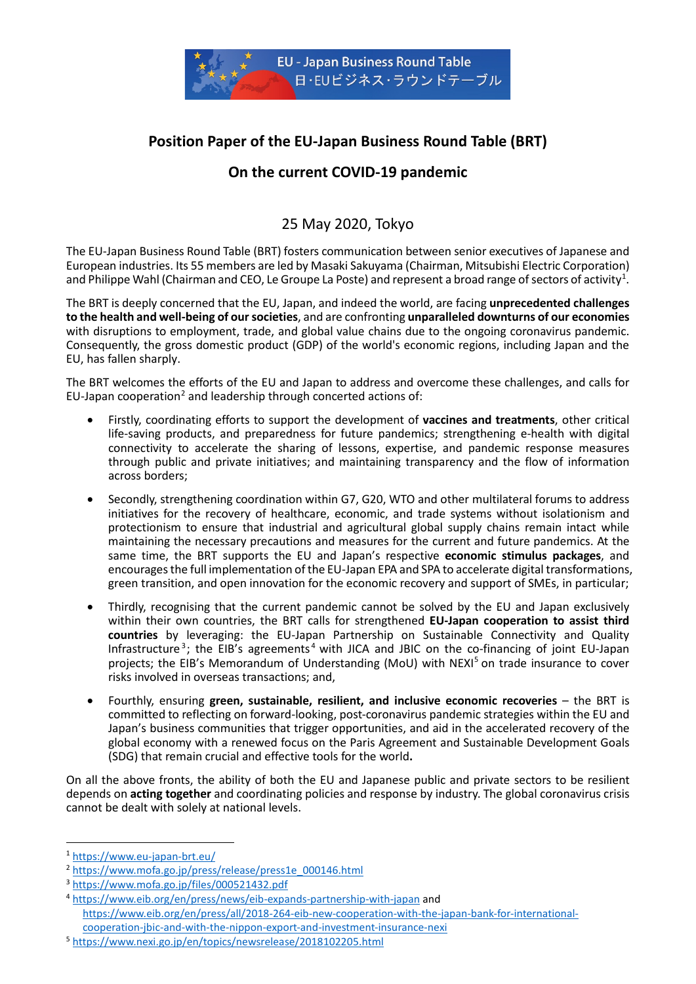

# **Position Paper of the EU-Japan Business Round Table (BRT)**

# **On the current COVID-19 pandemic**

## 25 May 2020, Tokyo

The EU-Japan Business Round Table (BRT) fosters communication between senior executives of Japanese and European industries. Its 55 members are led by Masaki Sakuyama (Chairman, Mitsubishi Electric Corporation) and Philippe Wahl (Chairman and CEO, Le Groupe La Poste) and represent a broad range of sectors of activity<sup>[1](#page-0-0)</sup>.

The BRT is deeply concerned that the EU, Japan, and indeed the world, are facing **unprecedented challenges to the health and well-being of our societies**, and are confronting **unparalleled downturns of our economies** with disruptions to employment, trade, and global value chains due to the ongoing coronavirus pandemic. Consequently, the gross domestic product (GDP) of the world's economic regions, including Japan and the EU, has fallen sharply.

The BRT welcomes the efforts of the EU and Japan to address and overcome these challenges, and calls for EU-Japan cooperation<sup>[2](#page-0-1)</sup> and leadership through concerted actions of:

- Firstly, coordinating efforts to support the development of **vaccines and treatments**, other critical life-saving products, and preparedness for future pandemics; strengthening e-health with digital connectivity to accelerate the sharing of lessons, expertise, and pandemic response measures through public and private initiatives; and maintaining transparency and the flow of information across borders;
- Secondly, strengthening coordination within G7, G20, WTO and other multilateral forums to address initiatives for the recovery of healthcare, economic, and trade systems without isolationism and protectionism to ensure that industrial and agricultural global supply chains remain intact while maintaining the necessary precautions and measures for the current and future pandemics. At the same time, the BRT supports the EU and Japan's respective **economic stimulus packages**, and encourages the full implementation of the EU-Japan EPA and SPA to accelerate digital transformations, green transition, and open innovation for the economic recovery and support of SMEs, in particular;
- Thirdly, recognising that the current pandemic cannot be solved by the EU and Japan exclusively within their own countries, the BRT calls for strengthened **EU-Japan cooperation to assist third countries** by leveraging: the EU-Japan Partnership on Sustainable Connectivity and Quality Infrastructure<sup>[3](#page-0-2)</sup>; the EIB's agreements<sup>[4](#page-0-3)</sup> with JICA and JBIC on the co-financing of joint EU-Japan projects; the EIB's Memorandum of Understanding (MoU) with NEXI<sup>[5](#page-0-4)</sup> on trade insurance to cover risks involved in overseas transactions; and,
- Fourthly, ensuring **green, sustainable, resilient, and inclusive economic recoveries** the BRT is committed to reflecting on forward-looking, post-coronavirus pandemic strategies within the EU and Japan's business communities that trigger opportunities, and aid in the accelerated recovery of the global economy with a renewed focus on the Paris Agreement and Sustainable Development Goals (SDG) that remain crucial and effective tools for the world**.**

On all the above fronts, the ability of both the EU and Japanese public and private sectors to be resilient depends on **acting together** and coordinating policies and response by industry. The global coronavirus crisis cannot be dealt with solely at national levels.

<span id="page-0-0"></span> <sup>1</sup> <https://www.eu-japan-brt.eu/>

<span id="page-0-1"></span><sup>&</sup>lt;sup>2</sup> [https://www.mofa.go.jp/press/release/press1e\\_000146.html](https://www.mofa.go.jp/press/release/press1e_000146.html)

<span id="page-0-2"></span><sup>3</sup> <https://www.mofa.go.jp/files/000521432.pdf>

<span id="page-0-3"></span><sup>4</sup> <https://www.eib.org/en/press/news/eib-expands-partnership-with-japan> and [https://www.eib.org/en/press/all/2018-264-eib-new-cooperation-with-the-japan-bank-for-international](https://www.eib.org/en/press/all/2018-264-eib-new-cooperation-with-the-japan-bank-for-international-cooperation-jbic-and-with-the-nippon-export-and-investment-insurance-nexi)[cooperation-jbic-and-with-the-nippon-export-and-investment-insurance-nexi](https://www.eib.org/en/press/all/2018-264-eib-new-cooperation-with-the-japan-bank-for-international-cooperation-jbic-and-with-the-nippon-export-and-investment-insurance-nexi)

<span id="page-0-4"></span><sup>5</sup> <https://www.nexi.go.jp/en/topics/newsrelease/2018102205.html>